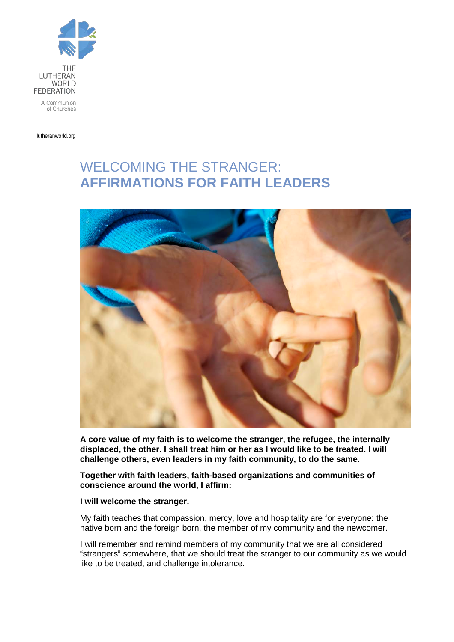

lutheranworld.org

## WELCOMING THE STRANGER: **AFFIRMATIONS FOR FAITH LEADERS**



**A core value of my faith is to welcome the stranger, the refugee, the internally displaced, the other. I shall treat him or her as I would like to be treated. I will challenge others, even leaders in my faith community, to do the same.**

**Together with faith leaders, faith-based organizations and communities of conscience around the world, I affirm:**

## **I will welcome the stranger.**

My faith teaches that compassion, mercy, love and hospitality are for everyone: the native born and the foreign born, the member of my community and the newcomer.

I will remember and remind members of my community that we are all considered "strangers" somewhere, that we should treat the stranger to our community as we would like to be treated, and challenge intolerance.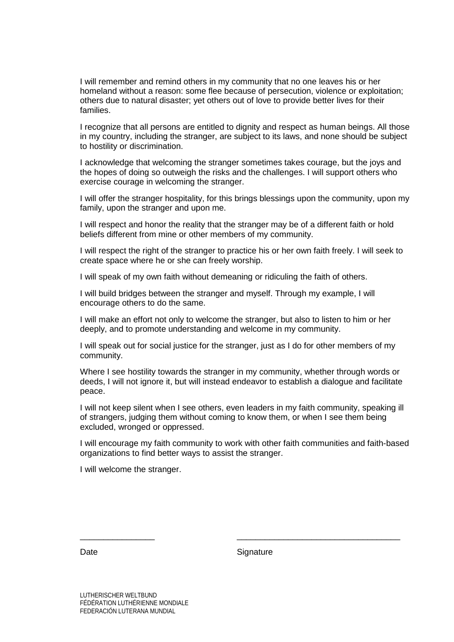I will remember and remind others in my community that no one leaves his or her homeland without a reason: some flee because of persecution, violence or exploitation; others due to natural disaster; yet others out of love to provide better lives for their families.

I recognize that all persons are entitled to dignity and respect as human beings. All those in my country, including the stranger, are subject to its laws, and none should be subject to hostility or discrimination.

I acknowledge that welcoming the stranger sometimes takes courage, but the joys and the hopes of doing so outweigh the risks and the challenges. I will support others who exercise courage in welcoming the stranger.

I will offer the stranger hospitality, for this brings blessings upon the community, upon my family, upon the stranger and upon me.

I will respect and honor the reality that the stranger may be of a different faith or hold beliefs different from mine or other members of my community.

I will respect the right of the stranger to practice his or her own faith freely. I will seek to create space where he or she can freely worship.

I will speak of my own faith without demeaning or ridiculing the faith of others.

I will build bridges between the stranger and myself. Through my example, I will encourage others to do the same.

I will make an effort not only to welcome the stranger, but also to listen to him or her deeply, and to promote understanding and welcome in my community.

I will speak out for social justice for the stranger, just as I do for other members of my community.

Where I see hostility towards the stranger in my community, whether through words or deeds, I will not ignore it, but will instead endeavor to establish a dialogue and facilitate peace.

I will not keep silent when I see others, even leaders in my faith community, speaking ill of strangers, judging them without coming to know them, or when I see them being excluded, wronged or oppressed.

I will encourage my faith community to work with other faith communities and faith-based organizations to find better ways to assist the stranger.

I will welcome the stranger.

Date Signature

\_\_\_\_\_\_\_\_\_\_\_\_\_\_\_\_ \_\_\_\_\_\_\_\_\_\_\_\_\_\_\_\_\_\_\_\_\_\_\_\_\_\_\_\_\_\_\_\_\_\_\_

LUTHERISCHER WELTBUND FÉDÉRATION LUTHÉRIENNE MONDIALE FEDERACIÓN LUTERANA MUNDIAL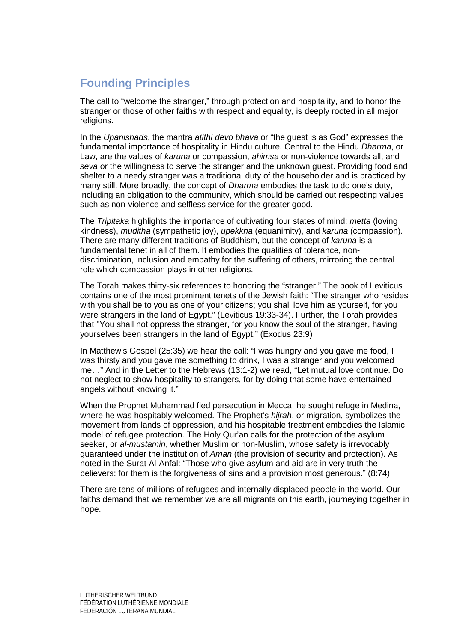## **Founding Principles**

The call to "welcome the stranger," through protection and hospitality, and to honor the stranger or those of other faiths with respect and equality, is deeply rooted in all major religions.

In the *Upanishads*, the mantra *atithi devo bhava* or "the guest is as God" expresses the fundamental importance of hospitality in Hindu culture. Central to the Hindu *Dharma*, or Law, are the values of *karuna* or compassion, *ahimsa* or non-violence towards all, and *seva* or the willingness to serve the stranger and the unknown guest. Providing food and shelter to a needy stranger was a traditional duty of the householder and is practiced by many still. More broadly, the concept of *Dharma* embodies the task to do one's duty, including an obligation to the community, which should be carried out respecting values such as non-violence and selfless service for the greater good.

The *Tripitaka* highlights the importance of cultivating four states of mind: *metta* (loving kindness), *muditha* (sympathetic joy), *upekkha* (equanimity), and *karuna* (compassion). There are many different traditions of Buddhism, but the concept of *karuna* is a fundamental tenet in all of them. It embodies the qualities of tolerance, nondiscrimination, inclusion and empathy for the suffering of others, mirroring the central role which compassion plays in other religions.

The Torah makes thirty-six references to honoring the "stranger." The book of Leviticus contains one of the most prominent tenets of the Jewish faith: "The stranger who resides with you shall be to you as one of your citizens; you shall love him as yourself, for you were strangers in the land of Egypt." (Leviticus 19:33-34). Further, the Torah provides that "You shall not oppress the stranger, for you know the soul of the stranger, having yourselves been strangers in the land of Egypt." (Exodus 23:9)

In Matthew's Gospel (25:35) we hear the call: "I was hungry and you gave me food, I was thirsty and you gave me something to drink, I was a stranger and you welcomed me…" And in the Letter to the Hebrews (13:1-2) we read, "Let mutual love continue. Do not neglect to show hospitality to strangers, for by doing that some have entertained angels without knowing it."

When the Prophet Muhammad fled persecution in Mecca, he sought refuge in Medina, where he was hospitably welcomed. The Prophet's *hijrah*, or migration, symbolizes the movement from lands of oppression, and his hospitable treatment embodies the Islamic model of refugee protection. The Holy Qur'an calls for the protection of the asylum seeker, or *al-mustamin*, whether Muslim or non-Muslim, whose safety is irrevocably guaranteed under the institution of *Aman* (the provision of security and protection). As noted in the Surat Al-Anfal: "Those who give asylum and aid are in very truth the believers: for them is the forgiveness of sins and a provision most generous." (8:74)

There are tens of millions of refugees and internally displaced people in the world. Our faiths demand that we remember we are all migrants on this earth, journeying together in hope.